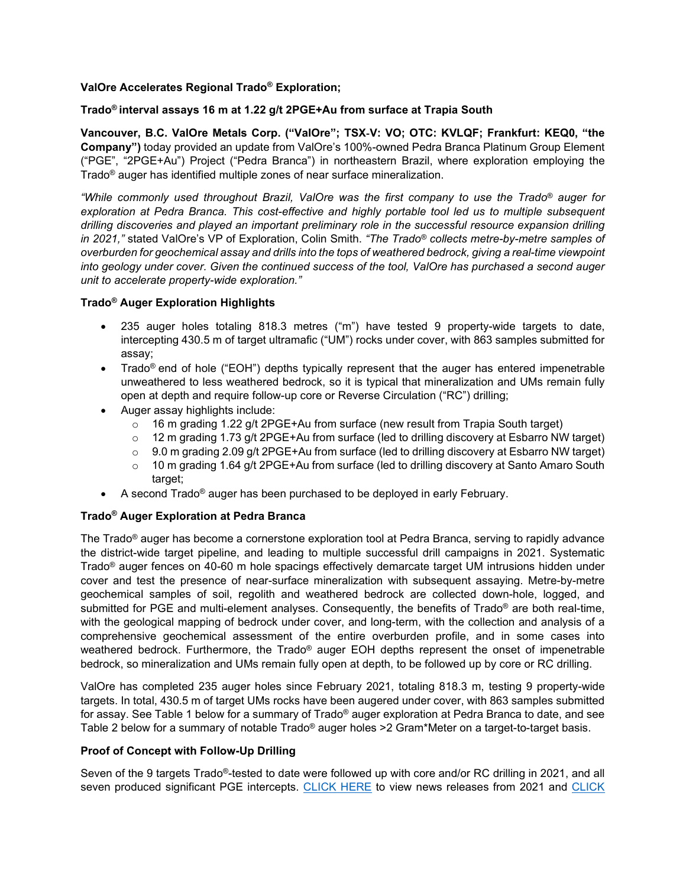# **ValOre Accelerates Regional Trado® Exploration;**

# **Trado® interval assays 16 m at 1.22 g/t 2PGE+Au from surface at Trapia South**

**Vancouver, B.C. ValOre Metals Corp. ("ValOre"; TSX**‐**V: VO; OTC: KVLQF; Frankfurt: KEQ0, "the Company")** today provided an update from ValOre's 100%-owned Pedra Branca Platinum Group Element ("PGE", "2PGE+Au") Project ("Pedra Branca") in northeastern Brazil, where exploration employing the Trado® auger has identified multiple zones of near surface mineralization.

*"While commonly used throughout Brazil, ValOre was the first company to use the Trado® auger for exploration at Pedra Branca. This cost-effective and highly portable tool led us to multiple subsequent drilling discoveries and played an important preliminary role in the successful resource expansion drilling in 2021,"* stated ValOre's VP of Exploration, Colin Smith. *"The Trado® collects metre-by-metre samples of overburden for geochemical assay and drills into the tops of weathered bedrock, giving a real-time viewpoint into geology under cover. Given the continued success of the tool, ValOre has purchased a second auger unit to accelerate property-wide exploration."*

## **Trado® Auger Exploration Highlights**

- 235 auger holes totaling 818.3 metres ("m") have tested 9 property-wide targets to date, intercepting 430.5 m of target ultramafic ("UM") rocks under cover, with 863 samples submitted for assay;
- Trado<sup>®</sup> end of hole ("EOH") depths typically represent that the auger has entered impenetrable unweathered to less weathered bedrock, so it is typical that mineralization and UMs remain fully open at depth and require follow-up core or Reverse Circulation ("RC") drilling;
- Auger assay highlights include:
	- $\circ$  16 m grading 1.22 g/t 2PGE+Au from surface (new result from Trapia South target)
	- $\circ$  12 m grading 1.73 g/t 2PGE+Au from surface (led to drilling discovery at Esbarro NW target)
	- o 9.0 m grading 2.09 g/t 2PGE+Au from surface (led to drilling discovery at Esbarro NW target)<br>
	10 m grading 1.64 g/t 2PGE+Au from surface (led to drilling discovery at Santo Amaro South
	- 10 m grading 1.64 g/t 2PGE+Au from surface (led to drilling discovery at Santo Amaro South target;
- A second Trado® auger has been purchased to be deployed in early February.

# **Trado® Auger Exploration at Pedra Branca**

The Trado® auger has become a cornerstone exploration tool at Pedra Branca, serving to rapidly advance the district-wide target pipeline, and leading to multiple successful drill campaigns in 2021. Systematic Trado® auger fences on 40-60 m hole spacings effectively demarcate target UM intrusions hidden under cover and test the presence of near-surface mineralization with subsequent assaying. Metre-by-metre geochemical samples of soil, regolith and weathered bedrock are collected down-hole, logged, and submitted for PGE and multi-element analyses. Consequently, the benefits of Trado® are both real-time, with the geological mapping of bedrock under cover, and long-term, with the collection and analysis of a comprehensive geochemical assessment of the entire overburden profile, and in some cases into weathered bedrock. Furthermore, the Trado® auger EOH depths represent the onset of impenetrable bedrock, so mineralization and UMs remain fully open at depth, to be followed up by core or RC drilling.

ValOre has completed 235 auger holes since February 2021, totaling 818.3 m, testing 9 property-wide targets. In total, 430.5 m of target UMs rocks have been augered under cover, with 863 samples submitted for assay. See Table 1 below for a summary of Trado® auger exploration at Pedra Branca to date, and see Table 2 below for a summary of notable Trado® auger holes >2 Gram\*Meter on a target-to-target basis.

#### **Proof of Concept with Follow-Up Drilling**

Seven of the 9 targets Trado®-tested to date were followed up with core and/or RC drilling in 2021, and all seven produced significant PGE intercepts. [CLICK HERE](http://www.valoremetals.com/news-media/news-releases/2021/) to view news releases from 2021 and CLICK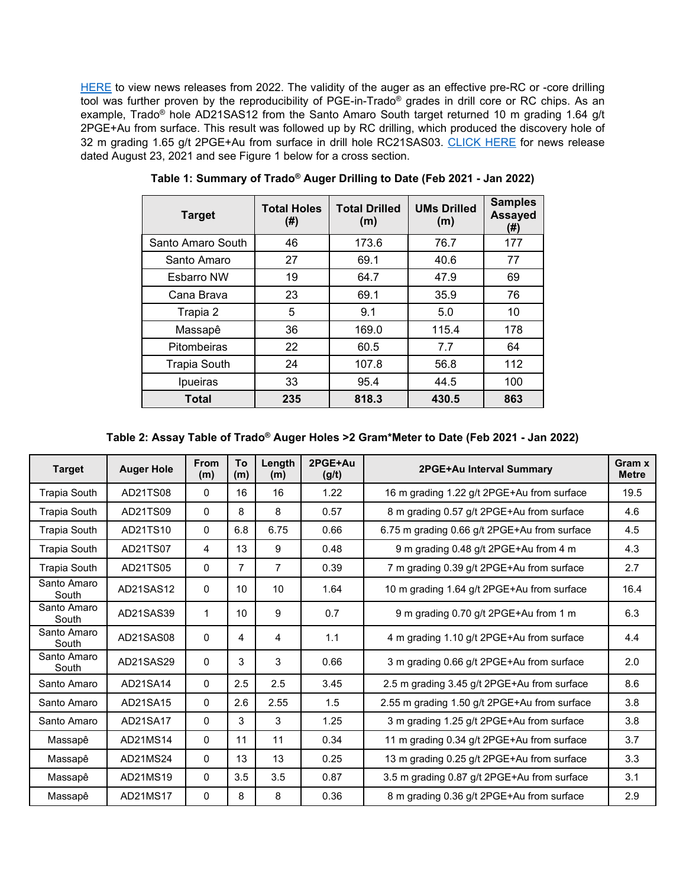[HERE](http://www.valoremetals.com/news-media/news-releases/2022/) to view news releases from 2022. The validity of the auger as an effective pre-RC or -core drilling tool was further proven by the reproducibility of PGE-in-Trado® grades in drill core or RC chips. As an example, Trado® hole AD21SAS12 from the Santo Amaro South target returned 10 m grading 1.64 g/t 2PGE+Au from surface. This result was followed up by RC drilling, which produced the discovery hole of 32 m grading 1.65 g/t 2PGE+Au from surface in drill hole RC21SAS03. [CLICK HERE](http://www.valoremetals.com/news-media/news-releases/2021/regional-exploration-work-generates-santo-amaro-south-rc-drilling-discovery-32-m-interval-grading-165-gt-2pgeau-from-surface) for news release dated August 23, 2021 and see Figure 1 below for a cross section.

| <b>Target</b>       | <b>Total Holes</b><br>$(\#)$ | <b>Total Drilled</b><br>(m) | <b>UMs Drilled</b><br>(m) | <b>Samples</b><br><b>Assayed</b><br>(#) |
|---------------------|------------------------------|-----------------------------|---------------------------|-----------------------------------------|
| Santo Amaro South   | 46                           | 173.6                       | 76.7                      | 177                                     |
| Santo Amaro         | 27                           | 69.1                        | 40.6                      | 77                                      |
| <b>Esbarro NW</b>   | 19                           | 64.7                        | 47.9                      | 69                                      |
| Cana Brava          | 23                           | 69.1                        | 35.9                      | 76                                      |
| Trapia 2            | 5                            | 9.1                         | 5.0                       | 10                                      |
| Massapê             | 36                           | 169.0                       | 115.4                     | 178                                     |
| Pitombeiras         | 22                           | 60.5                        | 7.7                       | 64                                      |
| <b>Trapia South</b> | 24                           | 107.8                       | 56.8                      | 112                                     |
| Ipueiras            | 33                           | 95.4                        | 44.5                      | 100                                     |
| <b>Total</b>        | 235                          | 818.3                       | 430.5                     | 863                                     |

**Table 1: Summary of Trado® Auger Drilling to Date (Feb 2021 - Jan 2022)**

| Table 2: Assay Table of Trado® Auger Holes >2 Gram*Meter to Date (Feb 2021 - Jan 2022) |  |  |
|----------------------------------------------------------------------------------------|--|--|
|----------------------------------------------------------------------------------------|--|--|

| <b>Target</b>        | <b>Auger Hole</b> | <b>From</b><br>(m) | To<br>(m)      | Length<br>(m)  | 2PGE+Au<br>(g/t) | 2PGE+Au Interval Summary                     | Gram x<br><b>Metre</b> |
|----------------------|-------------------|--------------------|----------------|----------------|------------------|----------------------------------------------|------------------------|
| <b>Trapia South</b>  | AD21TS08          | $\Omega$           | 16             | 16             | 1.22             | 16 m grading 1.22 g/t 2PGE+Au from surface   | 19.5                   |
| <b>Trapia South</b>  | AD21TS09          | 0                  | 8              | 8              | 0.57             | 8 m grading 0.57 g/t 2PGE+Au from surface    | 4.6                    |
| <b>Trapia South</b>  | AD21TS10          | $\Omega$           | 6.8            | 6.75           | 0.66             | 6.75 m grading 0.66 g/t 2PGE+Au from surface | 4.5                    |
| <b>Trapia South</b>  | AD21TS07          | 4                  | 13             | 9              | 0.48             | 9 m grading 0.48 g/t 2PGE+Au from 4 m        | 4.3                    |
| <b>Trapia South</b>  | AD21TS05          | 0                  | $\overline{7}$ | $\overline{7}$ | 0.39             | 7 m grading 0.39 g/t 2PGE+Au from surface    | 2.7                    |
| Santo Amaro<br>South | AD21SAS12         | 0                  | 10             | 10             | 1.64             | 10 m grading 1.64 g/t 2PGE+Au from surface   | 16.4                   |
| Santo Amaro<br>South | AD21SAS39         | 1                  | 10             | 9              | 0.7              | 9 m grading 0.70 g/t 2PGE+Au from 1 m        | 6.3                    |
| Santo Amaro<br>South | AD21SAS08         | 0                  | 4              | 4              | 1.1              | 4 m grading 1.10 g/t 2PGE+Au from surface    | 4.4                    |
| Santo Amaro<br>South | AD21SAS29         | 0                  | 3              | 3              | 0.66             | 3 m grading 0.66 g/t 2PGE+Au from surface    | 2.0                    |
| Santo Amaro          | AD21SA14          | 0                  | 2.5            | 2.5            | 3.45             | 2.5 m grading 3.45 g/t 2PGE+Au from surface  | 8.6                    |
| Santo Amaro          | AD21SA15          | 0                  | 2.6            | 2.55           | 1.5              | 2.55 m grading 1.50 g/t 2PGE+Au from surface | 3.8                    |
| Santo Amaro          | AD21SA17          | 0                  | 3              | 3              | 1.25             | 3 m grading 1.25 g/t 2PGE+Au from surface    | 3.8                    |
| Massapê              | AD21MS14          | 0                  | 11             | 11             | 0.34             | 11 m grading 0.34 g/t 2PGE+Au from surface   | 3.7                    |
| Massapê              | AD21MS24          | 0                  | 13             | 13             | 0.25             | 13 m grading 0.25 g/t 2PGE+Au from surface   | 3.3                    |
| Massapê              | AD21MS19          | 0                  | 3.5            | 3.5            | 0.87             | 3.5 m grading 0.87 g/t 2PGE+Au from surface  | 3.1                    |
| Massapê              | AD21MS17          | 0                  | 8              | 8              | 0.36             | 8 m grading 0.36 g/t 2PGE+Au from surface    | 2.9                    |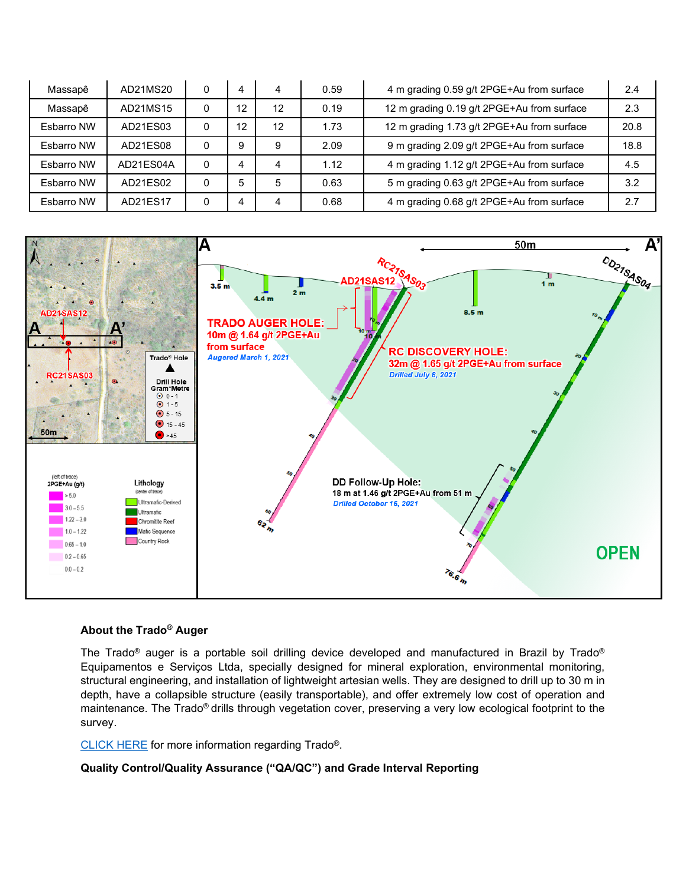| Massapê    | AD21MS20  | 0 | 4  | 4  | 0.59 | 4 m grading 0.59 g/t 2PGE+Au from surface  | 2.4  |
|------------|-----------|---|----|----|------|--------------------------------------------|------|
| Massapê    | AD21MS15  | 0 | 12 | 12 | 0.19 | 12 m grading 0.19 g/t 2PGE+Au from surface | 2.3  |
| Esbarro NW | AD21ES03  | 0 | 12 | 12 | 1.73 | 12 m grading 1.73 g/t 2PGE+Au from surface | 20.8 |
| Esbarro NW | AD21ES08  | 0 | 9  | 9  | 2.09 | 9 m grading 2.09 g/t 2PGE+Au from surface  | 18.8 |
| Esbarro NW | AD21ES04A | 0 | 4  | 4  | 1.12 | 4 m grading 1.12 g/t 2PGE+Au from surface  | 4.5  |
| Esbarro NW | AD21ES02  | 0 | 5  | 5  | 0.63 | 5 m grading 0.63 g/t 2PGE+Au from surface  | 3.2  |
| Esbarro NW | AD21ES17  | 0 | Δ  | 4  | 0.68 | 4 m grading 0.68 g/t 2PGE+Au from surface  | 2.7  |



#### **About the Trado® Auger**

The Trado® auger is a portable soil drilling device developed and manufactured in Brazil by Trado® Equipamentos e Serviços Ltda, specially designed for mineral exploration, environmental monitoring, structural engineering, and installation of lightweight artesian wells. They are designed to drill up to 30 m in depth, have a collapsible structure (easily transportable), and offer extremely low cost of operation and maintenance. The Trado® drills through vegetation cover, preserving a very low ecological footprint to the survey.

[CLICK HERE](http://www.trado.com.br/en/produto/auger-drill-trado-tr) for more information regarding Trado®.

**Quality Control/Quality Assurance ("QA/QC") and Grade Interval Reporting**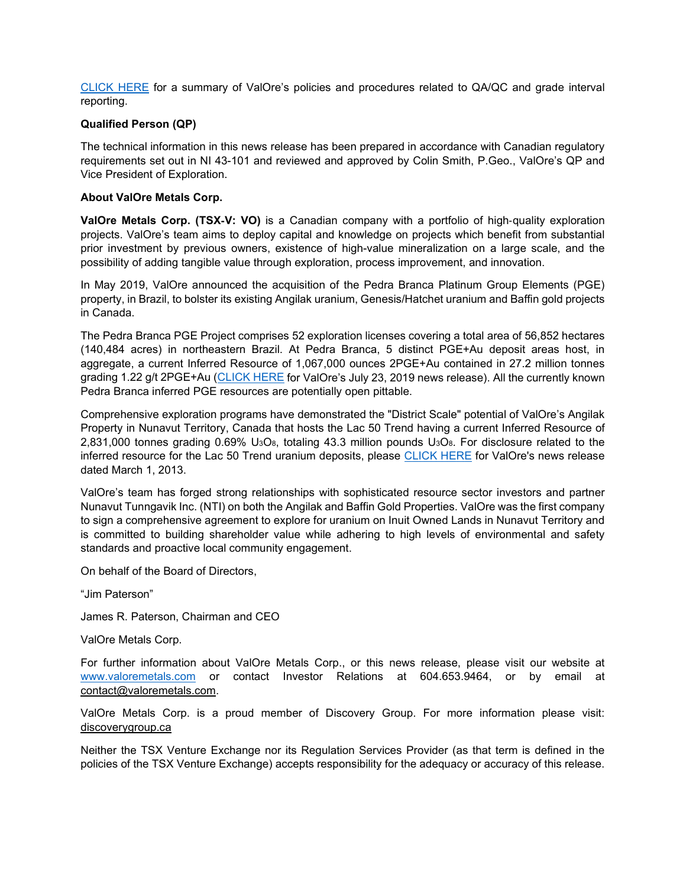[CLICK HERE](http://valoremetals.com/news-media/news-releases/2020/valore-announces-initial-drill-results-from-pedra-branca-including-10-gt-2pgeau-over-528-metres-from-surface) for a summary of ValOre's policies and procedures related to QA/QC and grade interval reporting.

# **Qualified Person (QP)**

The technical information in this news release has been prepared in accordance with Canadian regulatory requirements set out in NI 43-101 and reviewed and approved by Colin Smith, P.Geo., ValOre's QP and Vice President of Exploration.

## **About ValOre Metals Corp.**

**ValOre Metals Corp. (TSX**‐**V: VO)** is a Canadian company with a portfolio of high‐quality exploration projects. ValOre's team aims to deploy capital and knowledge on projects which benefit from substantial prior investment by previous owners, existence of high-value mineralization on a large scale, and the possibility of adding tangible value through exploration, process improvement, and innovation.

In May 2019, ValOre announced the acquisition of the Pedra Branca Platinum Group Elements (PGE) property, in Brazil, to bolster its existing Angilak uranium, Genesis/Hatchet uranium and Baffin gold projects in Canada.

The Pedra Branca PGE Project comprises 52 exploration licenses covering a total area of 56,852 hectares (140,484 acres) in northeastern Brazil. At Pedra Branca, 5 distinct PGE+Au deposit areas host, in aggregate, a current Inferred Resource of 1,067,000 ounces 2PGE+Au contained in 27.2 million tonnes grading 1.22 g/t 2PGE+Au [\(CLICK HERE](http://valoremetals.com/news-media/news-releases/2019/valore-files-technical-report-for-pedra-branca-pgm-project) for ValOre's July 23, 2019 news release). All the currently known Pedra Branca inferred PGE resources are potentially open pittable.

Comprehensive exploration programs have demonstrated the "District Scale" potential of ValOre's Angilak Property in Nunavut Territory, Canada that hosts the Lac 50 Trend having a current Inferred Resource of 2,831,000 tonnes grading  $0.69\%$  U<sub>3</sub>O<sub>8</sub>, totaling 43.3 million pounds U<sub>3</sub>O<sub>8</sub>. For disclosure related to the inferred resource for the Lac 50 Trend uranium deposits, please [CLICK HERE](http://valoremetals.com/news-media/news-releases/archive/index.php?content_id=144) for ValOre's news release dated March 1, 2013.

ValOre's team has forged strong relationships with sophisticated resource sector investors and partner Nunavut Tunngavik Inc. (NTI) on both the Angilak and Baffin Gold Properties. ValOre was the first company to sign a comprehensive agreement to explore for uranium on Inuit Owned Lands in Nunavut Territory and is committed to building shareholder value while adhering to high levels of environmental and safety standards and proactive local community engagement.

On behalf of the Board of Directors,

"Jim Paterson"

James R. Paterson, Chairman and CEO

ValOre Metals Corp.

For further information about ValOre Metals Corp., or this news release, please visit our website at [www.valoremetals.com](http://www.valoremetals.com/) or contact Investor Relations at 604.653.9464, or by email at [contact@valoremetals.com.](mailto:contact@valoremetals.com)

ValOre Metals Corp. is a proud member of Discovery Group. For more information please visit: [discoverygroup.ca](http://www.discoverygroup.ca/)

Neither the TSX Venture Exchange nor its Regulation Services Provider (as that term is defined in the policies of the TSX Venture Exchange) accepts responsibility for the adequacy or accuracy of this release.